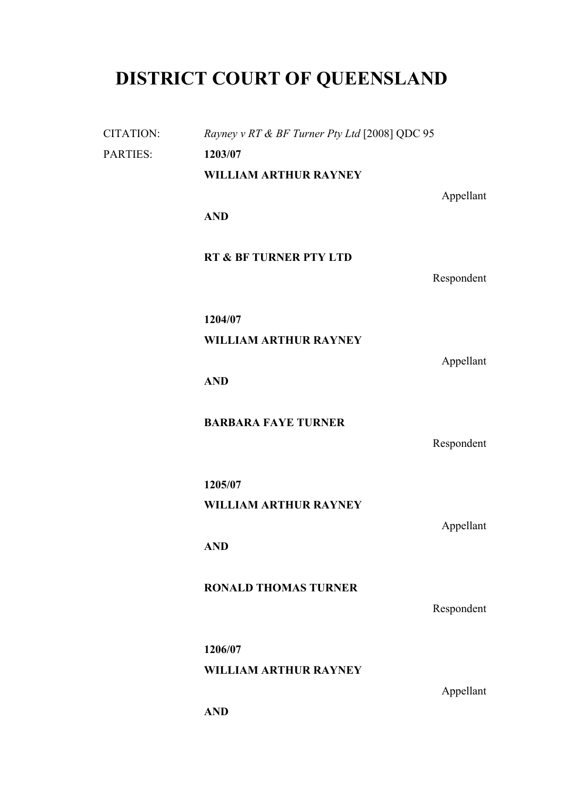# **DISTRICT COURT OF QUEENSLAND**

CITATION: *Rayney v RT & BF Turner Pty Ltd* [2008] QDC 95 PARTIES: **1203/07 WILLIAM ARTHUR RAYNEY** Appellant **AND RT & BF TURNER PTY LTD** Respondent **1204/07 WILLIAM ARTHUR RAYNEY** Appellant **AND BARBARA FAYE TURNER** Respondent **1205/07 WILLIAM ARTHUR RAYNEY** Appellant **AND RONALD THOMAS TURNER** Respondent **1206/07 WILLIAM ARTHUR RAYNEY** Appellant **AND**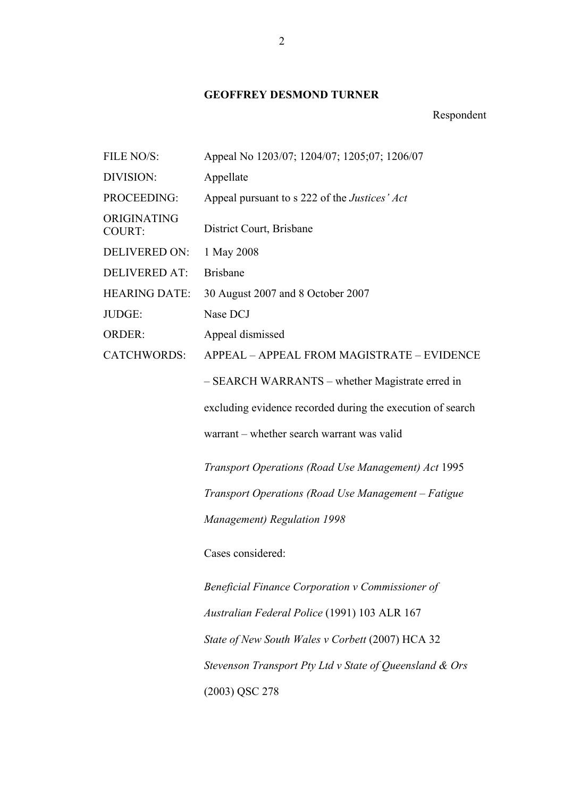## **GEOFFREY DESMOND TURNER**

## Respondent

| FILE NO/S:                   | Appeal No 1203/07; 1204/07; 1205;07; 1206/07               |
|------------------------------|------------------------------------------------------------|
| DIVISION:                    | Appellate                                                  |
| PROCEEDING:                  | Appeal pursuant to s 222 of the <i>Justices' Act</i>       |
| ORIGINATING<br><b>COURT:</b> | District Court, Brisbane                                   |
| <b>DELIVERED ON:</b>         | 1 May 2008                                                 |
| <b>DELIVERED AT:</b>         | <b>Brisbane</b>                                            |
| <b>HEARING DATE:</b>         | 30 August 2007 and 8 October 2007                          |
| JUDGE:                       | Nase DCJ                                                   |
| <b>ORDER:</b>                | Appeal dismissed                                           |
| <b>CATCHWORDS:</b>           | APPEAL - APPEAL FROM MAGISTRATE - EVIDENCE                 |
|                              | - SEARCH WARRANTS – whether Magistrate erred in            |
|                              | excluding evidence recorded during the execution of search |
|                              | warrant – whether search warrant was valid                 |
|                              | Transport Operations (Road Use Management) Act 1995        |
|                              | Transport Operations (Road Use Management – Fatigue        |
|                              | <b>Management</b> ) Regulation 1998                        |
|                              | Cases considered:                                          |
|                              | Beneficial Finance Corporation v Commissioner of           |
|                              | Australian Federal Police (1991) 103 ALR 167               |
|                              | State of New South Wales v Corbett (2007) HCA 32           |
|                              | Stevenson Transport Pty Ltd v State of Queensland & Ors    |
|                              | (2003) QSC 278                                             |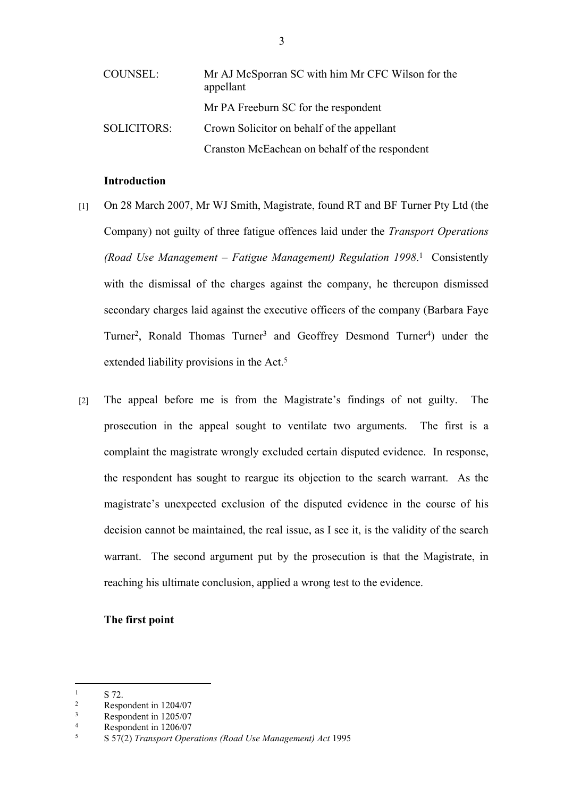| COUNSEL:           | Mr AJ McSporran SC with him Mr CFC Wilson for the<br>appellant |
|--------------------|----------------------------------------------------------------|
|                    | Mr PA Freeburn SC for the respondent                           |
| <b>SOLICITORS:</b> | Crown Solicitor on behalf of the appellant                     |
|                    | Cranston McEachean on behalf of the respondent                 |

## **Introduction**

- [1] On 28 March 2007, Mr WJ Smith, Magistrate, found RT and BF Turner Pty Ltd (the Company) not guilty of three fatigue offences laid under the *Transport Operations (Road Use Management – Fatigue Management) Regulation 1998*. 1 Consistently with the dismissal of the charges against the company, he thereupon dismissed secondary charges laid against the executive officers of the company (Barbara Faye Turner<sup>2</sup>, Ronald Thomas Turner<sup>3</sup> and Geoffrey Desmond Turner<sup>4</sup>) under the extended liability provisions in the Act.<sup>5</sup>
- [2] The appeal before me is from the Magistrate's findings of not guilty. The prosecution in the appeal sought to ventilate two arguments. The first is a complaint the magistrate wrongly excluded certain disputed evidence. In response, the respondent has sought to reargue its objection to the search warrant. As the magistrate's unexpected exclusion of the disputed evidence in the course of his decision cannot be maintained, the real issue, as I see it, is the validity of the search warrant. The second argument put by the prosecution is that the Magistrate, in reaching his ultimate conclusion, applied a wrong test to the evidence.

## **The first point**

<sup>1</sup> S 72.

 $\overline{2}$ Respondent in 1204/07

<sup>3</sup> Respondent in 1205/07

<sup>4</sup> Respondent in 1206/07

<sup>5</sup> S 57(2) *Transport Operations (Road Use Management) Act* 1995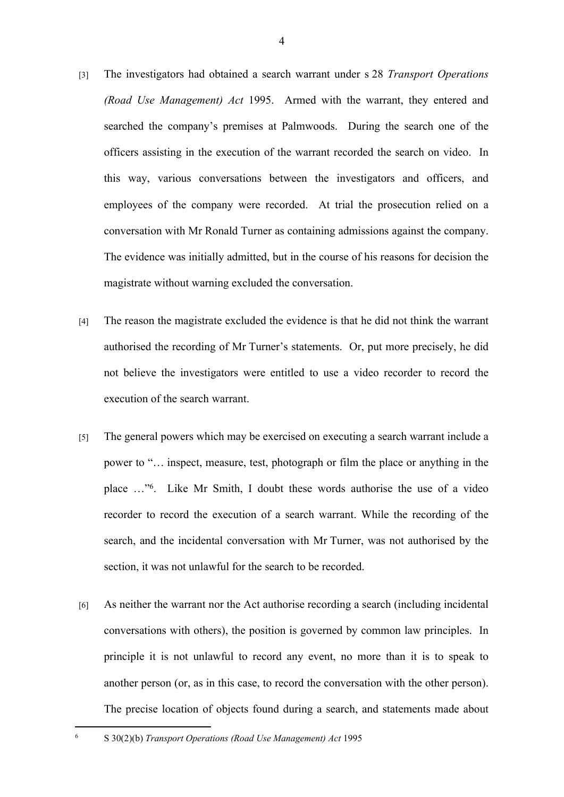- [3] The investigators had obtained a search warrant under s 28 *Transport Operations (Road Use Management) Act* 1995. Armed with the warrant, they entered and searched the company's premises at Palmwoods. During the search one of the officers assisting in the execution of the warrant recorded the search on video. In this way, various conversations between the investigators and officers, and employees of the company were recorded. At trial the prosecution relied on a conversation with Mr Ronald Turner as containing admissions against the company. The evidence was initially admitted, but in the course of his reasons for decision the magistrate without warning excluded the conversation.
- [4] The reason the magistrate excluded the evidence is that he did not think the warrant authorised the recording of Mr Turner's statements. Or, put more precisely, he did not believe the investigators were entitled to use a video recorder to record the execution of the search warrant.
- [5] The general powers which may be exercised on executing a search warrant include a power to "… inspect, measure, test, photograph or film the place or anything in the place …"<sup>6</sup> . Like Mr Smith, I doubt these words authorise the use of a video recorder to record the execution of a search warrant. While the recording of the search, and the incidental conversation with Mr Turner, was not authorised by the section, it was not unlawful for the search to be recorded.
- [6] As neither the warrant nor the Act authorise recording a search (including incidental conversations with others), the position is governed by common law principles. In principle it is not unlawful to record any event, no more than it is to speak to another person (or, as in this case, to record the conversation with the other person). The precise location of objects found during a search, and statements made about

6

S 30(2)(b) *Transport Operations (Road Use Management) Act* 1995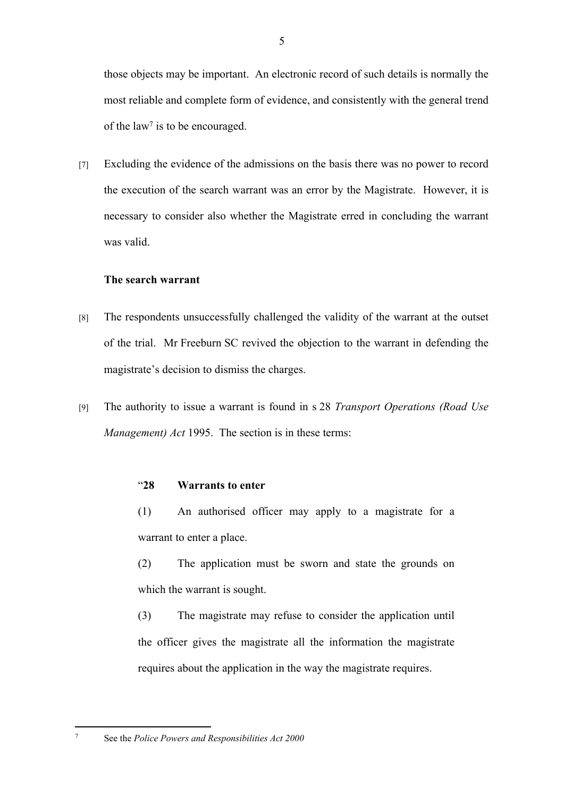those objects may be important. An electronic record of such details is normally the most reliable and complete form of evidence, and consistently with the general trend of the law<sup>7</sup> is to be encouraged.

[7] Excluding the evidence of the admissions on the basis there was no power to record the execution of the search warrant was an error by the Magistrate. However, it is necessary to consider also whether the Magistrate erred in concluding the warrant was valid.

## **The search warrant**

- [8] The respondents unsuccessfully challenged the validity of the warrant at the outset of the trial. Mr Freeburn SC revived the objection to the warrant in defending the magistrate's decision to dismiss the charges.
- [9] The authority to issue a warrant is found in s 28 *Transport Operations (Road Use Management) Act* 1995. The section is in these terms:

## "**28 Warrants to enter**

(1) An authorised officer may apply to a magistrate for a warrant to enter a place.

(2) The application must be sworn and state the grounds on which the warrant is sought.

(3) The magistrate may refuse to consider the application until the officer gives the magistrate all the information the magistrate requires about the application in the way the magistrate requires.

7

See the *Police Powers and Responsibilities Act 2000*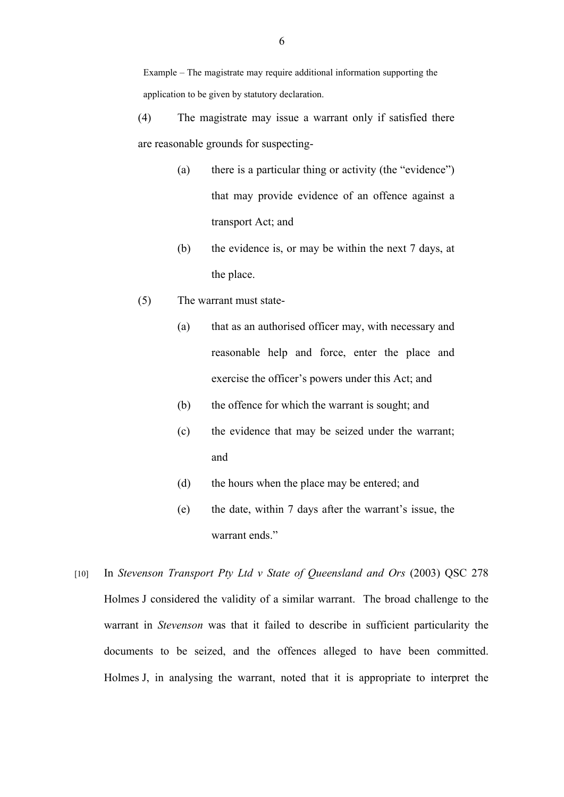(4) The magistrate may issue a warrant only if satisfied there are reasonable grounds for suspecting-

- (a) there is a particular thing or activity (the "evidence") that may provide evidence of an offence against a transport Act; and
- (b) the evidence is, or may be within the next 7 days, at the place.
- (5) The warrant must state-
	- (a) that as an authorised officer may, with necessary and reasonable help and force, enter the place and exercise the officer's powers under this Act; and
	- (b) the offence for which the warrant is sought; and
	- (c) the evidence that may be seized under the warrant; and
	- (d) the hours when the place may be entered; and
	- (e) the date, within 7 days after the warrant's issue, the warrant ends."
- [10] In *Stevenson Transport Pty Ltd v State of Queensland and Ors* (2003) QSC 278 Holmes J considered the validity of a similar warrant. The broad challenge to the warrant in *Stevenson* was that it failed to describe in sufficient particularity the documents to be seized, and the offences alleged to have been committed. Holmes J, in analysing the warrant, noted that it is appropriate to interpret the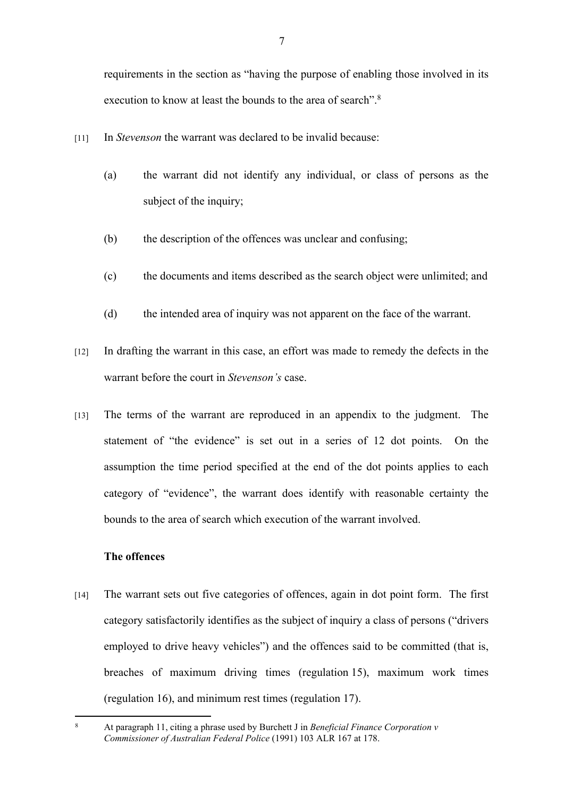requirements in the section as "having the purpose of enabling those involved in its execution to know at least the bounds to the area of search" <sup>8</sup>

- [11] In *Stevenson* the warrant was declared to be invalid because:
	- (a) the warrant did not identify any individual, or class of persons as the subject of the inquiry;
	- (b) the description of the offences was unclear and confusing;
	- (c) the documents and items described as the search object were unlimited; and
	- (d) the intended area of inquiry was not apparent on the face of the warrant.
- [12] In drafting the warrant in this case, an effort was made to remedy the defects in the warrant before the court in *Stevenson's* case.
- [13] The terms of the warrant are reproduced in an appendix to the judgment. The statement of "the evidence" is set out in a series of 12 dot points. On the assumption the time period specified at the end of the dot points applies to each category of "evidence", the warrant does identify with reasonable certainty the bounds to the area of search which execution of the warrant involved.

## **The offences**

[14] The warrant sets out five categories of offences, again in dot point form. The first category satisfactorily identifies as the subject of inquiry a class of persons ("drivers employed to drive heavy vehicles") and the offences said to be committed (that is, breaches of maximum driving times (regulation 15), maximum work times (regulation 16), and minimum rest times (regulation 17).

<sup>8</sup> At paragraph 11, citing a phrase used by Burchett J in *Beneficial Finance Corporation v Commissioner of Australian Federal Police* (1991) 103 ALR 167 at 178.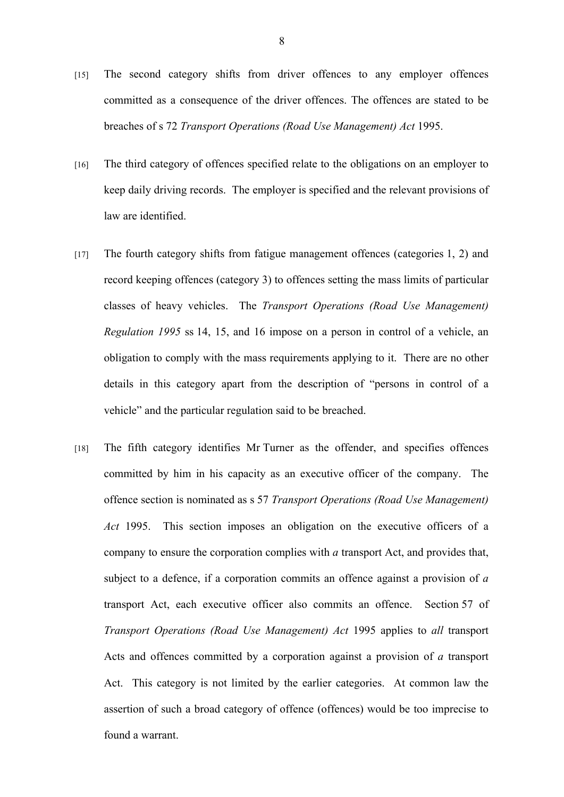- [15] The second category shifts from driver offences to any employer offences committed as a consequence of the driver offences. The offences are stated to be breaches of s 72 *Transport Operations (Road Use Management) Act* 1995.
- [16] The third category of offences specified relate to the obligations on an employer to keep daily driving records. The employer is specified and the relevant provisions of law are identified.
- [17] The fourth category shifts from fatigue management offences (categories 1, 2) and record keeping offences (category 3) to offences setting the mass limits of particular classes of heavy vehicles. The *Transport Operations (Road Use Management) Regulation 1995* ss 14, 15, and 16 impose on a person in control of a vehicle, an obligation to comply with the mass requirements applying to it. There are no other details in this category apart from the description of "persons in control of a vehicle" and the particular regulation said to be breached.
- [18] The fifth category identifies Mr Turner as the offender, and specifies offences committed by him in his capacity as an executive officer of the company. The offence section is nominated as s 57 *Transport Operations (Road Use Management) Act* 1995. This section imposes an obligation on the executive officers of a company to ensure the corporation complies with *a* transport Act, and provides that, subject to a defence, if a corporation commits an offence against a provision of *a* transport Act, each executive officer also commits an offence. Section 57 of *Transport Operations (Road Use Management) Act* 1995 applies to *all* transport Acts and offences committed by a corporation against a provision of *a* transport Act. This category is not limited by the earlier categories. At common law the assertion of such a broad category of offence (offences) would be too imprecise to found a warrant.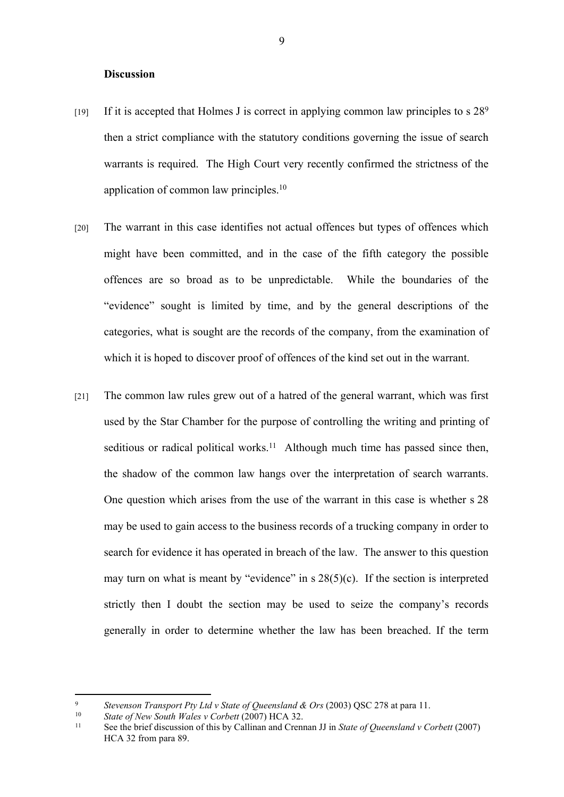#### **Discussion**

- [19] If it is accepted that Holmes J is correct in applying common law principles to s  $28^9$ then a strict compliance with the statutory conditions governing the issue of search warrants is required. The High Court very recently confirmed the strictness of the application of common law principles.<sup>10</sup>
- [20] The warrant in this case identifies not actual offences but types of offences which might have been committed, and in the case of the fifth category the possible offences are so broad as to be unpredictable. While the boundaries of the "evidence" sought is limited by time, and by the general descriptions of the categories, what is sought are the records of the company, from the examination of which it is hoped to discover proof of offences of the kind set out in the warrant.
- [21] The common law rules grew out of a hatred of the general warrant, which was first used by the Star Chamber for the purpose of controlling the writing and printing of seditious or radical political works.<sup>11</sup> Although much time has passed since then, the shadow of the common law hangs over the interpretation of search warrants. One question which arises from the use of the warrant in this case is whether s 28 may be used to gain access to the business records of a trucking company in order to search for evidence it has operated in breach of the law. The answer to this question may turn on what is meant by "evidence" in  $s$  28(5)(c). If the section is interpreted strictly then I doubt the section may be used to seize the company's records generally in order to determine whether the law has been breached. If the term

<sup>9</sup> *Stevenson Transport Pty Ltd v State of Queensland & Ors* (2003) QSC 278 at para 11.

<sup>10</sup> *State of New South Wales v Corbett* (2007) HCA 32.

<sup>11</sup> See the brief discussion of this by Callinan and Crennan JJ in *State of Queensland v Corbett* (2007) HCA 32 from para 89.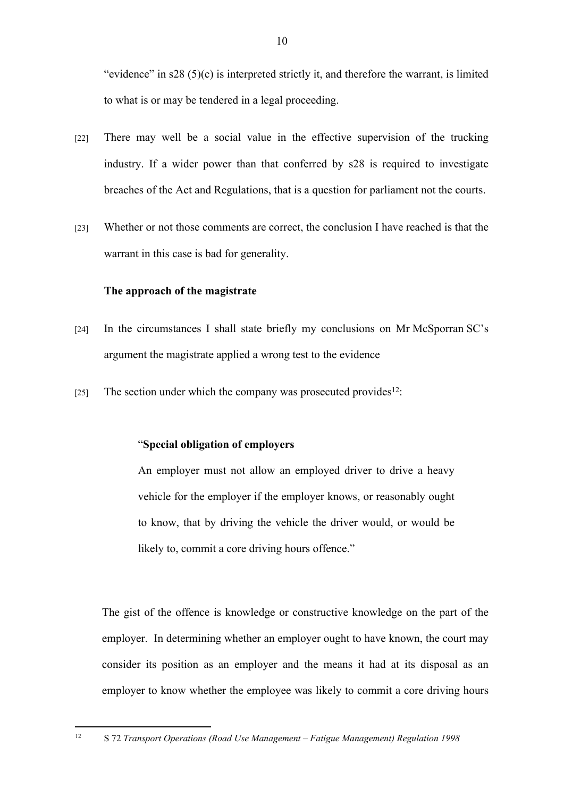"evidence" in  $s28(5)(c)$  is interpreted strictly it, and therefore the warrant, is limited to what is or may be tendered in a legal proceeding.

- [22] There may well be a social value in the effective supervision of the trucking industry. If a wider power than that conferred by s28 is required to investigate breaches of the Act and Regulations, that is a question for parliament not the courts.
- [23] Whether or not those comments are correct, the conclusion I have reached is that the warrant in this case is bad for generality.

#### **The approach of the magistrate**

- [24] In the circumstances I shall state briefly my conclusions on Mr McSporran SC's argument the magistrate applied a wrong test to the evidence
- [25] The section under which the company was prosecuted provides<sup>12</sup>:

## "**Special obligation of employers**

An employer must not allow an employed driver to drive a heavy vehicle for the employer if the employer knows, or reasonably ought to know, that by driving the vehicle the driver would, or would be likely to, commit a core driving hours offence."

The gist of the offence is knowledge or constructive knowledge on the part of the employer. In determining whether an employer ought to have known, the court may consider its position as an employer and the means it had at its disposal as an employer to know whether the employee was likely to commit a core driving hours

<sup>12</sup> S 72 *Transport Operations (Road Use Management – Fatigue Management) Regulation 1998*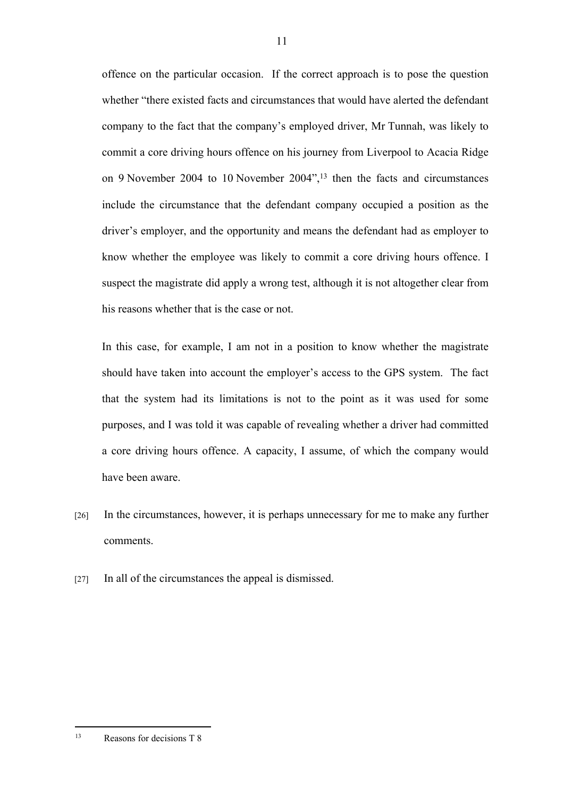offence on the particular occasion. If the correct approach is to pose the question whether "there existed facts and circumstances that would have alerted the defendant company to the fact that the company's employed driver, Mr Tunnah, was likely to commit a core driving hours offence on his journey from Liverpool to Acacia Ridge on 9 November 2004 to 10 November 2004",<sup>13</sup> then the facts and circumstances include the circumstance that the defendant company occupied a position as the driver's employer, and the opportunity and means the defendant had as employer to know whether the employee was likely to commit a core driving hours offence. I suspect the magistrate did apply a wrong test, although it is not altogether clear from his reasons whether that is the case or not.

In this case, for example, I am not in a position to know whether the magistrate should have taken into account the employer's access to the GPS system. The fact that the system had its limitations is not to the point as it was used for some purposes, and I was told it was capable of revealing whether a driver had committed a core driving hours offence. A capacity, I assume, of which the company would have been aware.

- [26] In the circumstances, however, it is perhaps unnecessary for me to make any further comments.
- [27] In all of the circumstances the appeal is dismissed.

<sup>13</sup> Reasons for decisions T 8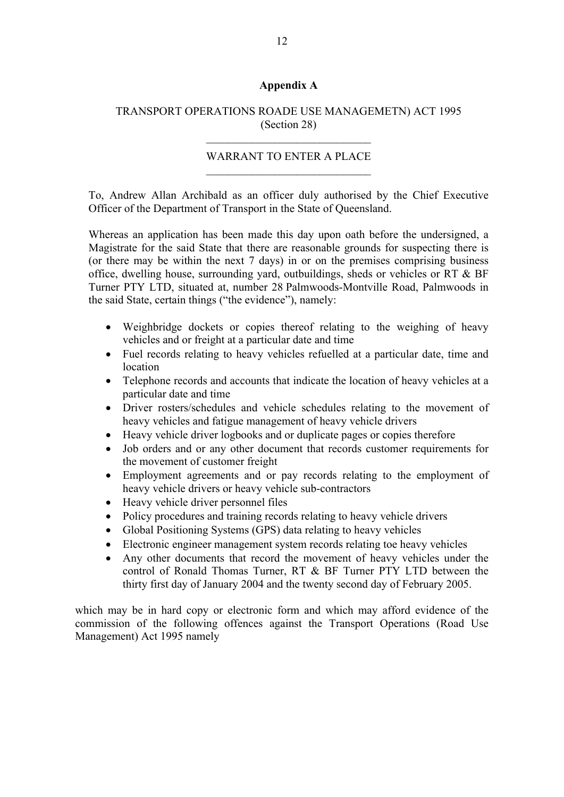## **Appendix A**

## TRANSPORT OPERATIONS ROADE USE MANAGEMETN) ACT 1995 (Section 28)

 $\mathcal{L}_\text{max}$  , and the set of the set of the set of the set of the set of the set of the set of the set of the set of the set of the set of the set of the set of the set of the set of the set of the set of the set of the

## WARRANT TO ENTER A PLACE  $\mathcal{L}_\text{max}$  , and the set of the set of the set of the set of the set of the set of the set of the set of the set of the set of the set of the set of the set of the set of the set of the set of the set of the set of the

To, Andrew Allan Archibald as an officer duly authorised by the Chief Executive Officer of the Department of Transport in the State of Queensland.

Whereas an application has been made this day upon oath before the undersigned, a Magistrate for the said State that there are reasonable grounds for suspecting there is (or there may be within the next 7 days) in or on the premises comprising business office, dwelling house, surrounding yard, outbuildings, sheds or vehicles or RT & BF Turner PTY LTD, situated at, number 28 Palmwoods-Montville Road, Palmwoods in the said State, certain things ("the evidence"), namely:

- Weighbridge dockets or copies thereof relating to the weighing of heavy vehicles and or freight at a particular date and time
- Fuel records relating to heavy vehicles refuelled at a particular date, time and location
- Telephone records and accounts that indicate the location of heavy vehicles at a particular date and time
- Driver rosters/schedules and vehicle schedules relating to the movement of heavy vehicles and fatigue management of heavy vehicle drivers
- Heavy vehicle driver logbooks and or duplicate pages or copies therefore
- Job orders and or any other document that records customer requirements for the movement of customer freight
- Employment agreements and or pay records relating to the employment of heavy vehicle drivers or heavy vehicle sub-contractors
- Heavy vehicle driver personnel files
- Policy procedures and training records relating to heavy vehicle drivers
- Global Positioning Systems (GPS) data relating to heavy vehicles
- Electronic engineer management system records relating toe heavy vehicles
- Any other documents that record the movement of heavy vehicles under the control of Ronald Thomas Turner, RT & BF Turner PTY LTD between the thirty first day of January 2004 and the twenty second day of February 2005.

which may be in hard copy or electronic form and which may afford evidence of the commission of the following offences against the Transport Operations (Road Use Management) Act 1995 namely